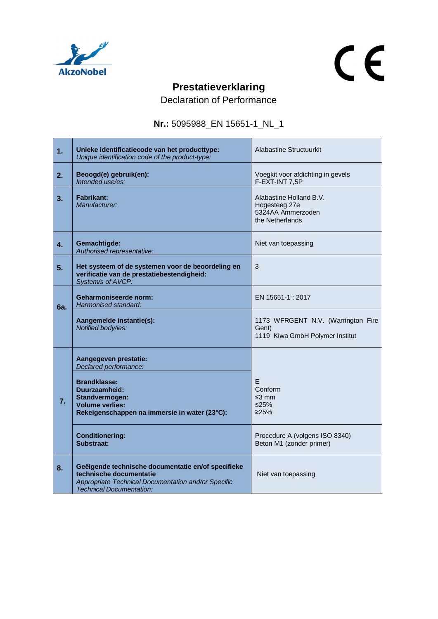

## $C<sub>f</sub>$

## **Prestatieverklaring**

Declaration of Performance

## **Nr.:** 5095988\_EN 15651-1\_NL\_1

| 1.               | Unieke identificatiecode van het producttype:<br>Unique identification code of the product-type:                                                                        | Alabastine Structuurkit                                                          |
|------------------|-------------------------------------------------------------------------------------------------------------------------------------------------------------------------|----------------------------------------------------------------------------------|
| 2.               | Beoogd(e) gebruik(en):<br>Intended use/es:                                                                                                                              | Voegkit voor afdichting in gevels<br>F-EXT-INT 7,5P                              |
| 3.               | <b>Fabrikant:</b><br>Manufacturer:                                                                                                                                      | Alabastine Holland B.V.<br>Hogesteeg 27e<br>5324AA Ammerzoden<br>the Netherlands |
| $\overline{4}$ . | Gemachtigde:<br>Authorised representative:                                                                                                                              | Niet van toepassing                                                              |
| 5.               | Het systeem of de systemen voor de beoordeling en<br>verificatie van de prestatiebestendigheid:<br>System/s of AVCP:                                                    | 3                                                                                |
| 6a.              | Geharmoniseerde norm:<br>Harmonised standard:                                                                                                                           | EN 15651-1 : 2017                                                                |
|                  | Aangemelde instantie(s):<br>Notified body/ies:                                                                                                                          | 1173 WFRGENT N.V. (Warrington Fire<br>Gent)<br>1119 Kiwa GmbH Polymer Institut   |
|                  | Aangegeven prestatie:<br>Declared performance:                                                                                                                          |                                                                                  |
| 7.               | <b>Brandklasse:</b><br>Duurzaamheid:<br>Standvermogen:<br><b>Volume verlies:</b><br>Rekeigenschappen na immersie in water (23°C):                                       | E<br>Conform<br>$\leq$ 3 mm<br>≤25%<br>225%                                      |
|                  | <b>Conditionering:</b><br>Substraat:                                                                                                                                    | Procedure A (volgens ISO 8340)<br>Beton M1 (zonder primer)                       |
| 8.               | Geëigende technische documentatie en/of specifieke<br>technische documentatie<br>Appropriate Technical Documentation and/or Specific<br><b>Technical Documentation:</b> | Niet van toepassing                                                              |